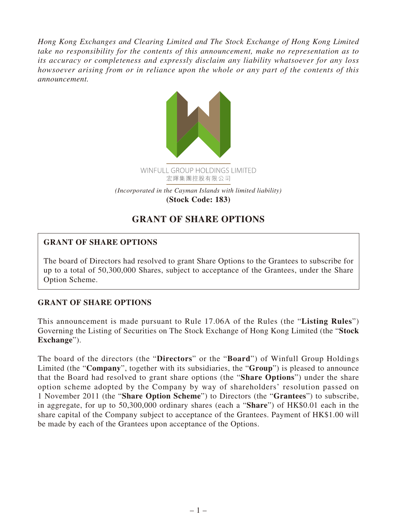*Hong Kong Exchanges and Clearing Limited and The Stock Exchange of Hong Kong Limited take no responsibility for the contents of this announcement, make no representation as to its accuracy or completeness and expressly disclaim any liability whatsoever for any loss howsoever arising from or in reliance upon the whole or any part of the contents of this announcement.*



## **GRANT OF SHARE OPTIONS**

## **GRANT OF SHARE OPTIONS**

The board of Directors had resolved to grant Share Options to the Grantees to subscribe for up to a total of 50,300,000 Shares, subject to acceptance of the Grantees, under the Share Option Scheme.

## **GRANT OF SHARE OPTIONS**

This announcement is made pursuant to Rule 17.06A of the Rules (the "**Listing Rules**") Governing the Listing of Securities on The Stock Exchange of Hong Kong Limited (the "**Stock Exchange**").

The board of the directors (the "**Directors**" or the "**Board**") of Winfull Group Holdings Limited (the "**Company**", together with its subsidiaries, the "**Group**") is pleased to announce that the Board had resolved to grant share options (the "**Share Options**") under the share option scheme adopted by the Company by way of shareholders' resolution passed on 1 November 2011 (the "**Share Option Scheme**") to Directors (the "**Grantees**") to subscribe, in aggregate, for up to 50,300,000 ordinary shares (each a "**Share**") of HK\$0.01 each in the share capital of the Company subject to acceptance of the Grantees. Payment of HK\$1.00 will be made by each of the Grantees upon acceptance of the Options.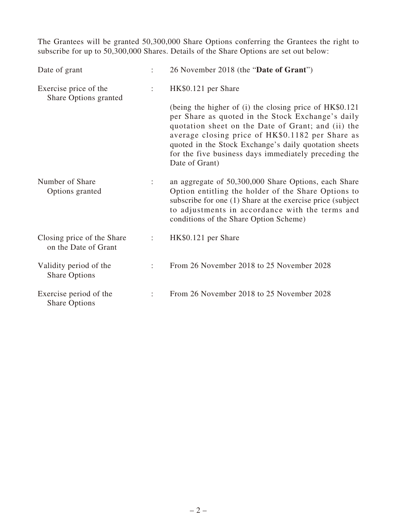The Grantees will be granted 50,300,000 Share Options conferring the Grantees the right to subscribe for up to 50,300,000 Shares. Details of the Share Options are set out below:

| Date of grant                                      |   | 26 November 2018 (the "Date of Grant")                                                                                                                                                                                                                                                                                                                    |
|----------------------------------------------------|---|-----------------------------------------------------------------------------------------------------------------------------------------------------------------------------------------------------------------------------------------------------------------------------------------------------------------------------------------------------------|
| Exercise price of the<br>Share Options granted     | ÷ | HK\$0.121 per Share                                                                                                                                                                                                                                                                                                                                       |
|                                                    |   | (being the higher of (i) the closing price of HK\$0.121<br>per Share as quoted in the Stock Exchange's daily<br>quotation sheet on the Date of Grant; and (ii) the<br>average closing price of HK\$0.1182 per Share as<br>quoted in the Stock Exchange's daily quotation sheets<br>for the five business days immediately preceding the<br>Date of Grant) |
| Number of Share<br>Options granted                 | ÷ | an aggregate of 50,300,000 Share Options, each Share<br>Option entitling the holder of the Share Options to<br>subscribe for one (1) Share at the exercise price (subject<br>to adjustments in accordance with the terms and<br>conditions of the Share Option Scheme)                                                                                    |
| Closing price of the Share<br>on the Date of Grant |   | HK\$0.121 per Share                                                                                                                                                                                                                                                                                                                                       |
| Validity period of the<br><b>Share Options</b>     | ÷ | From 26 November 2018 to 25 November 2028                                                                                                                                                                                                                                                                                                                 |
| Exercise period of the<br><b>Share Options</b>     | ÷ | From 26 November 2018 to 25 November 2028                                                                                                                                                                                                                                                                                                                 |